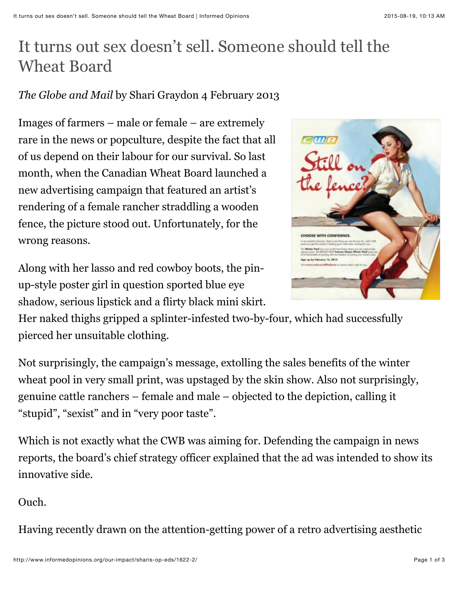## It turns out sex doesn't sell. Someone should tell the Wheat Board

## *The Globe and Mail* by Shari Graydon 4 February 2013

Images of farmers – male or female – are extremely rare in the news or popculture, despite the fact that all of us depend on their labour for our survival. So last month, when the Canadian Wheat Board launched a new advertising campaign that featured an artist's rendering of a female rancher straddling a wooden fence, the picture stood out. Unfortunately, for the wrong reasons.

Along with her lasso and red cowboy boots, the pinup-style poster girl in question sported blue eye shadow, serious lipstick and a flirty black mini skirt.



Her naked thighs gripped a splinter-infested two-by-four, which had successfully pierced her unsuitable clothing.

Not surprisingly, the campaign's message, extolling the sales benefits of the winter wheat pool in very small print, was upstaged by the skin show. Also not surprisingly, genuine cattle ranchers – female and male – objected to the depiction, calling it "stupid", "sexist" and in "very poor taste".

Which is not exactly what the CWB was aiming for. Defending the campaign in news reports, the board's chief strategy officer explained that the ad was intended to show its innovative side.

## Ouch.

Having recently drawn on the attention-getting power of a retro advertising aesthetic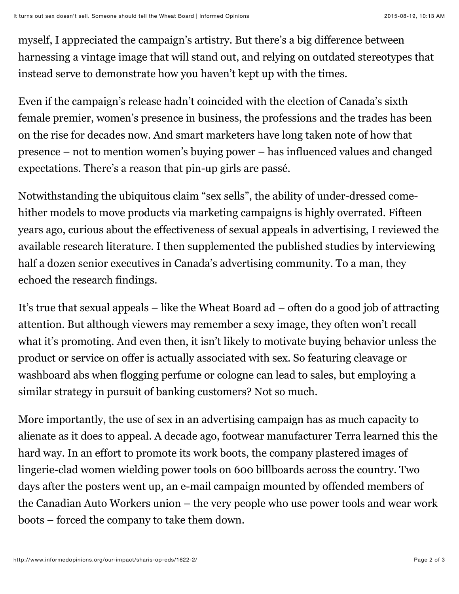myself, I appreciated the campaign's artistry. But there's a big difference between harnessing a vintage image that will stand out, and relying on outdated stereotypes that instead serve to demonstrate how you haven't kept up with the times.

Even if the campaign's release hadn't coincided with the election of Canada's sixth female premier, women's presence in business, the professions and the trades has been on the rise for decades now. And smart marketers have long taken note of how that presence – not to mention women's buying power – has influenced values and changed expectations. There's a reason that pin-up girls are passé.

Notwithstanding the ubiquitous claim "sex sells", the ability of under-dressed comehither models to move products via marketing campaigns is highly overrated. Fifteen years ago, curious about the effectiveness of sexual appeals in advertising, I reviewed the available research literature. I then supplemented the published studies by interviewing half a dozen senior executives in Canada's advertising community. To a man, they echoed the research findings.

It's true that sexual appeals – like the Wheat Board ad – often do a good job of attracting attention. But although viewers may remember a sexy image, they often won't recall what it's promoting. And even then, it isn't likely to motivate buying behavior unless the product or service on offer is actually associated with sex. So featuring cleavage or washboard abs when flogging perfume or cologne can lead to sales, but employing a similar strategy in pursuit of banking customers? Not so much.

More importantly, the use of sex in an advertising campaign has as much capacity to alienate as it does to appeal. A decade ago, footwear manufacturer Terra learned this the hard way. In an effort to promote its work boots, the company plastered images of lingerie-clad women wielding power tools on 600 billboards across the country. Two days after the posters went up, an e-mail campaign mounted by offended members of the Canadian Auto Workers union – the very people who use power tools and wear work boots – forced the company to take them down.